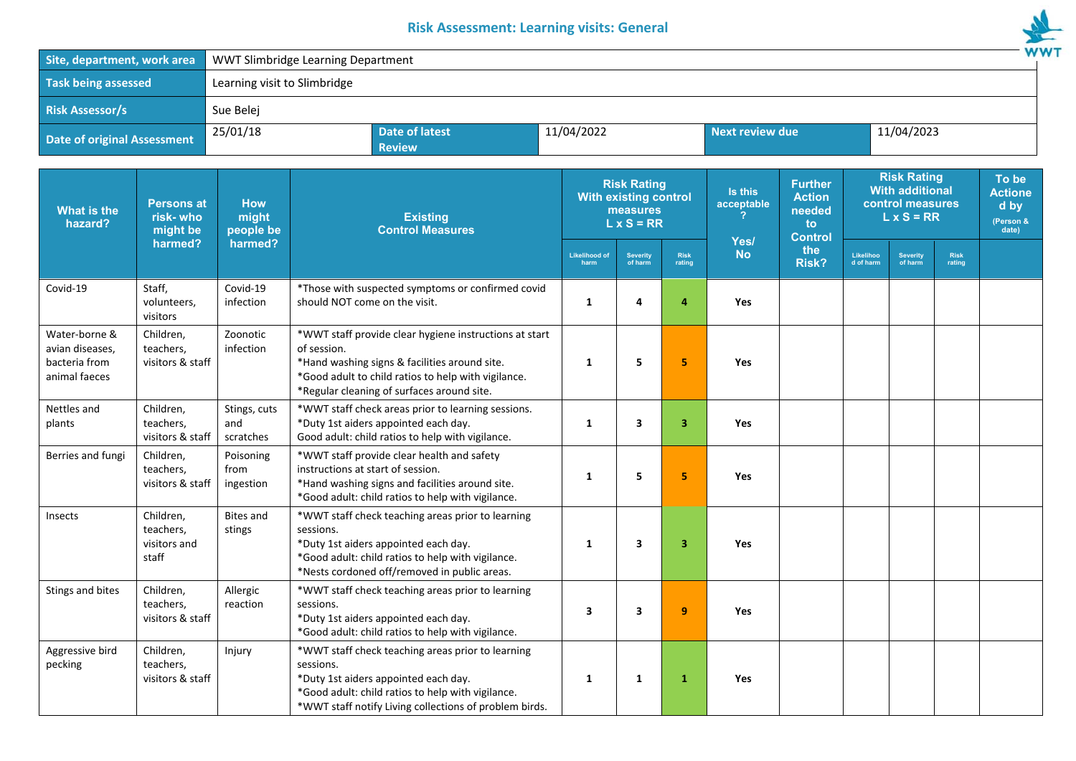## **Risk Assessment: Learning visits: General**



| Site, department, work area                                        |                                            | <b>WW</b><br>WWT Slimbridge Learning Department |                                                                                                                                                                                                                             |                                                      |                              |                                                                    |                                                                                       |                        |              |                                                       |                            |                       |  |
|--------------------------------------------------------------------|--------------------------------------------|-------------------------------------------------|-----------------------------------------------------------------------------------------------------------------------------------------------------------------------------------------------------------------------------|------------------------------------------------------|------------------------------|--------------------------------------------------------------------|---------------------------------------------------------------------------------------|------------------------|--------------|-------------------------------------------------------|----------------------------|-----------------------|--|
| <b>Task being assessed</b>                                         |                                            |                                                 | Learning visit to Slimbridge                                                                                                                                                                                                |                                                      |                              |                                                                    |                                                                                       |                        |              |                                                       |                            |                       |  |
| <b>Risk Assessor/s</b>                                             |                                            | Sue Belej                                       |                                                                                                                                                                                                                             |                                                      |                              |                                                                    |                                                                                       |                        |              |                                                       |                            |                       |  |
| <b>Date of original Assessment</b>                                 |                                            | 25/01/18                                        |                                                                                                                                                                                                                             | <b>Date of latest</b><br>11/04/2022<br><b>Review</b> |                              |                                                                    |                                                                                       | <b>Next review due</b> |              | 11/04/2023                                            |                            |                       |  |
| What is the<br>hazard?                                             | <b>Persons at</b><br>risk-who<br>might be  | <b>How</b><br>might<br>people be                | <b>Risk Rating</b><br><b>With existing control</b><br>measures<br><b>Existing</b><br>$L \times S = RR$<br><b>Control Measures</b>                                                                                           |                                                      | Is this<br>acceptable        | <b>Further</b><br><b>Action</b><br>needed<br>to:<br><b>Control</b> | <b>Risk Rating</b><br><b>With additional</b><br>control measures<br>$L \times S = RR$ |                        |              | To be<br><b>Actione</b><br>d by<br>(Person &<br>date) |                            |                       |  |
|                                                                    | harmed?                                    | harmed?                                         |                                                                                                                                                                                                                             |                                                      | <b>Likelihood of</b><br>harm | <b>Severity</b><br>of harm                                         | <b>Risk</b><br>rating                                                                 | Yes/<br><b>No</b>      | the<br>Risk? | Likelihoo<br>d of harm                                | <b>Severity</b><br>of harm | <b>Risk</b><br>rating |  |
| Covid-19                                                           | Staff,<br>volunteers,<br>visitors          | Covid-19<br>infection                           | *Those with suspected symptoms or confirmed covid<br>should NOT come on the visit.                                                                                                                                          |                                                      | 1                            | 4                                                                  | 4                                                                                     | Yes                    |              |                                                       |                            |                       |  |
| Water-borne &<br>avian diseases.<br>bacteria from<br>animal faeces | Children,<br>teachers,<br>visitors & staff | Zoonotic<br>infection                           | *WWT staff provide clear hygiene instructions at start<br>of session.<br>*Hand washing signs & facilities around site.<br>*Good adult to child ratios to help with vigilance.<br>*Regular cleaning of surfaces around site. |                                                      | 1                            | 5                                                                  | 5.                                                                                    | Yes                    |              |                                                       |                            |                       |  |
| Nettles and<br>plants                                              | Children,<br>teachers,<br>visitors & staff | Stings, cuts<br>and<br>scratches                | *WWT staff check areas prior to learning sessions.<br>*Duty 1st aiders appointed each day.<br>Good adult: child ratios to help with vigilance.                                                                              |                                                      | 1                            | 3                                                                  | 3                                                                                     | Yes                    |              |                                                       |                            |                       |  |
| Berries and fungi                                                  | Children,<br>teachers,<br>visitors & staff | Poisoning<br>from<br>ingestion                  | *WWT staff provide clear health and safety<br>instructions at start of session.<br>*Hand washing signs and facilities around site.<br>*Good adult: child ratios to help with vigilance.                                     |                                                      | -1                           | 5                                                                  | 5                                                                                     | Yes                    |              |                                                       |                            |                       |  |
| Insects                                                            | Children,                                  | <b>Bites and</b>                                | *WWT staff check teaching areas prior to learning                                                                                                                                                                           |                                                      |                              |                                                                    |                                                                                       |                        |              |                                                       |                            |                       |  |

**1 3 3 Yes** 

**3 3 9 Yes** 

**1 1 1 Yes** 

teachers, visitors and staff

teachers, visitors & staff

Children, teachers, visitors & staff

Stings and bites | Children,

Aggressive bird pecking

Bites and stings

Allergic reaction sessions.

sessions.

sessions.

\*Duty 1st aiders appointed each day.

\*Duty 1st aiders appointed each day.

Injury \*WWT staff check teaching areas prior to learning

\*Duty 1st aiders appointed each day.

\*Good adult: child ratios to help with vigilance. \*Nests cordoned off/removed in public areas.

\*Good adult: child ratios to help with vigilance.

\*Good adult: child ratios to help with vigilance. \*WWT staff notify Living collections of problem birds.

\*WWT staff check teaching areas prior to learning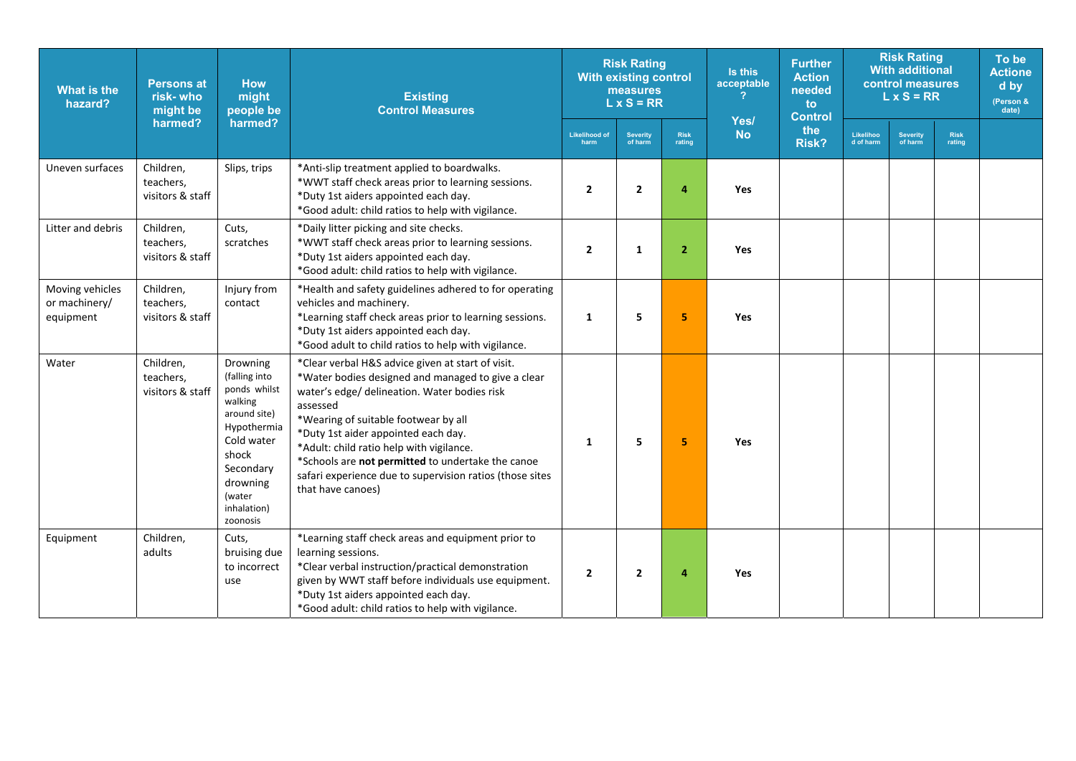| What is the<br>hazard?                        | <b>Persons at</b><br>risk-who<br>might be  | <b>How</b><br>might<br>people be                                                                                                                                         | <b>Existing</b><br><b>Control Measures</b>                                                                                                                                                                                                                                                                                                                                                                                           |                              | <b>Risk Rating</b><br><b>With existing control</b><br>measures<br>$L \times S = RR$ |                       | Is this<br>acceptable | <b>Further</b><br><b>Action</b><br>needed<br>to<br><b>Control</b> | <b>Risk Rating</b><br><b>With additional</b><br>control measures<br>$L \times S = RR$ |                            |                       | To be<br><b>Actione</b><br>d by<br>(Person &<br>date) |
|-----------------------------------------------|--------------------------------------------|--------------------------------------------------------------------------------------------------------------------------------------------------------------------------|--------------------------------------------------------------------------------------------------------------------------------------------------------------------------------------------------------------------------------------------------------------------------------------------------------------------------------------------------------------------------------------------------------------------------------------|------------------------------|-------------------------------------------------------------------------------------|-----------------------|-----------------------|-------------------------------------------------------------------|---------------------------------------------------------------------------------------|----------------------------|-----------------------|-------------------------------------------------------|
|                                               | harmed?                                    | harmed?                                                                                                                                                                  |                                                                                                                                                                                                                                                                                                                                                                                                                                      | <b>Likelihood of</b><br>harm | <b>Severity</b><br>of harm                                                          | <b>Risk</b><br>rating | Yes/<br><b>No</b>     | the<br><b>Risk?</b>                                               | Likelihoo<br>d of harm                                                                | <b>Severity</b><br>of harm | <b>Risk</b><br>rating |                                                       |
| Uneven surfaces                               | Children,<br>teachers,<br>visitors & staff | Slips, trips                                                                                                                                                             | *Anti-slip treatment applied to boardwalks.<br>*WWT staff check areas prior to learning sessions.<br>*Duty 1st aiders appointed each day.<br>*Good adult: child ratios to help with vigilance.                                                                                                                                                                                                                                       | $\overline{2}$               | $\overline{2}$                                                                      | 4                     | Yes                   |                                                                   |                                                                                       |                            |                       |                                                       |
| Litter and debris                             | Children,<br>teachers,<br>visitors & staff | Cuts,<br>scratches                                                                                                                                                       | *Daily litter picking and site checks.<br>*WWT staff check areas prior to learning sessions.<br>*Duty 1st aiders appointed each day.<br>*Good adult: child ratios to help with vigilance.                                                                                                                                                                                                                                            | $\overline{2}$               | 1                                                                                   | $\overline{2}$        | Yes                   |                                                                   |                                                                                       |                            |                       |                                                       |
| Moving vehicles<br>or machinery/<br>equipment | Children,<br>teachers,<br>visitors & staff | Injury from<br>contact                                                                                                                                                   | *Health and safety guidelines adhered to for operating<br>vehicles and machinery.<br>*Learning staff check areas prior to learning sessions.<br>*Duty 1st aiders appointed each day.<br>*Good adult to child ratios to help with vigilance.                                                                                                                                                                                          | $\mathbf{1}$                 | 5                                                                                   | 5.                    | <b>Yes</b>            |                                                                   |                                                                                       |                            |                       |                                                       |
| Water                                         | Children,<br>teachers,<br>visitors & staff | Drowning<br>(falling into<br>ponds whilst<br>walking<br>around site)<br>Hypothermia<br>Cold water<br>shock<br>Secondary<br>drowning<br>(water<br>inhalation)<br>zoonosis | *Clear verbal H&S advice given at start of visit.<br>*Water bodies designed and managed to give a clear<br>water's edge/ delineation. Water bodies risk<br>assessed<br>*Wearing of suitable footwear by all<br>*Duty 1st aider appointed each day.<br>*Adult: child ratio help with vigilance.<br>*Schools are not permitted to undertake the canoe<br>safari experience due to supervision ratios (those sites<br>that have canoes) | 1                            | 5                                                                                   | 5                     | <b>Yes</b>            |                                                                   |                                                                                       |                            |                       |                                                       |
| Equipment                                     | Children,<br>adults                        | Cuts,<br>bruising due<br>to incorrect<br>use                                                                                                                             | *Learning staff check areas and equipment prior to<br>learning sessions.<br>*Clear verbal instruction/practical demonstration<br>given by WWT staff before individuals use equipment.<br>*Duty 1st aiders appointed each day.<br>*Good adult: child ratios to help with vigilance.                                                                                                                                                   | $\overline{2}$               | $\overline{2}$                                                                      | 4                     | Yes                   |                                                                   |                                                                                       |                            |                       |                                                       |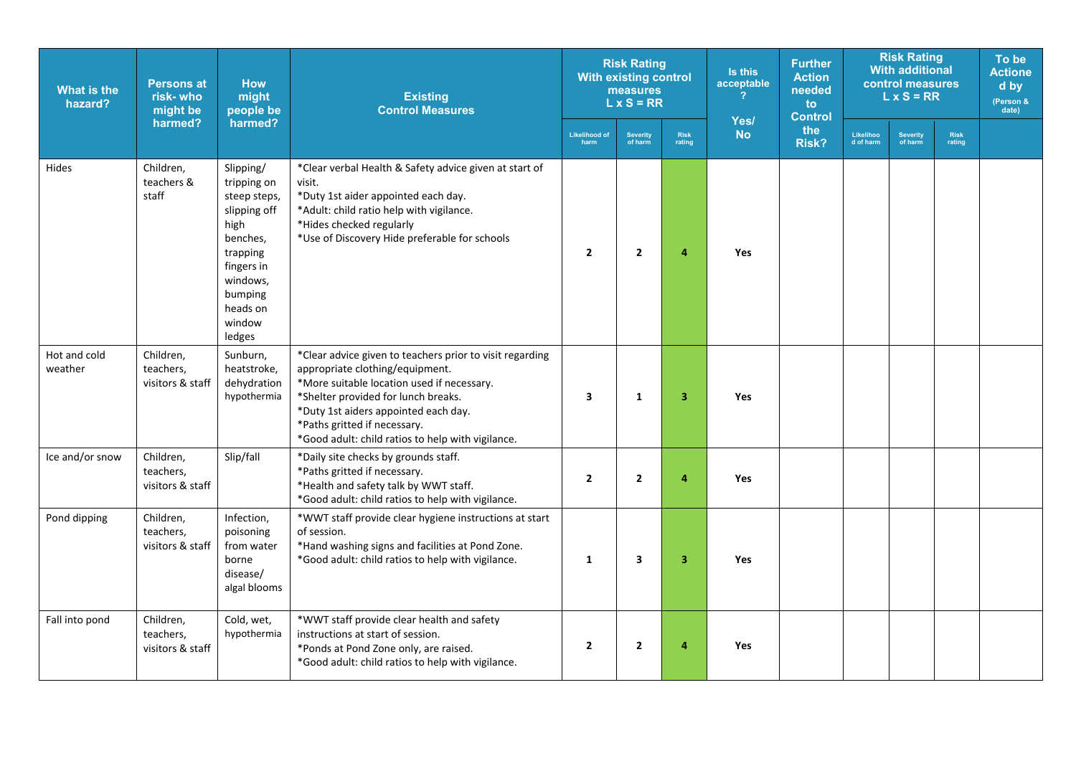| <b>What is the</b><br>hazard? | <b>Persons at</b><br>risk-who<br>might be  | <b>Risk Rating</b><br><b>How</b><br>measures<br>might<br><b>Existing</b><br>$L \times S = RR$<br><b>Control Measures</b><br>people be                         |                                                                                                                                                                                                                                                                                                               | <b>With existing control</b> |                         | Is this<br>acceptable | <b>Further</b><br><b>Action</b><br>needed<br>to<br><b>Control</b> | <b>Risk Rating</b><br><b>With additional</b><br>control measures<br>$L \times S = RR$ |                        |                     | To be<br><b>Actione</b><br>d by<br>(Person &<br>date) |  |
|-------------------------------|--------------------------------------------|---------------------------------------------------------------------------------------------------------------------------------------------------------------|---------------------------------------------------------------------------------------------------------------------------------------------------------------------------------------------------------------------------------------------------------------------------------------------------------------|------------------------------|-------------------------|-----------------------|-------------------------------------------------------------------|---------------------------------------------------------------------------------------|------------------------|---------------------|-------------------------------------------------------|--|
|                               | harmed?                                    | harmed?                                                                                                                                                       |                                                                                                                                                                                                                                                                                                               | <b>Likelihood of</b><br>harm | Severity<br>of harm     | <b>Risk</b><br>rating | Yes/<br><b>No</b>                                                 | the<br><b>Risk?</b>                                                                   | Likelihoo<br>d of harm | Severity<br>of harm | <b>Risk</b><br>rating                                 |  |
| <b>Hides</b>                  | Children,<br>teachers &<br>staff           | Slipping/<br>tripping on<br>steep steps,<br>slipping off<br>high<br>benches,<br>trapping<br>fingers in<br>windows,<br>bumping<br>heads on<br>window<br>ledges | *Clear verbal Health & Safety advice given at start of<br>visit.<br>*Duty 1st aider appointed each day.<br>*Adult: child ratio help with vigilance.<br>*Hides checked regularly<br>*Use of Discovery Hide preferable for schools                                                                              | $\overline{2}$               | $\overline{2}$          | 4                     | <b>Yes</b>                                                        |                                                                                       |                        |                     |                                                       |  |
| Hot and cold<br>weather       | Children,<br>teachers,<br>visitors & staff | Sunburn,<br>heatstroke,<br>dehydration<br>hypothermia                                                                                                         | *Clear advice given to teachers prior to visit regarding<br>appropriate clothing/equipment.<br>*More suitable location used if necessary.<br>*Shelter provided for lunch breaks.<br>*Duty 1st aiders appointed each day.<br>*Paths gritted if necessary.<br>*Good adult: child ratios to help with vigilance. | $\overline{\mathbf{3}}$      | $\mathbf{1}$            | 3                     | <b>Yes</b>                                                        |                                                                                       |                        |                     |                                                       |  |
| Ice and/or snow               | Children,<br>teachers,<br>visitors & staff | Slip/fall                                                                                                                                                     | *Daily site checks by grounds staff.<br>*Paths gritted if necessary.<br>*Health and safety talk by WWT staff.<br>*Good adult: child ratios to help with vigilance.                                                                                                                                            | $\overline{2}$               | $\overline{2}$          | 4                     | Yes                                                               |                                                                                       |                        |                     |                                                       |  |
| Pond dipping                  | Children,<br>teachers,<br>visitors & staff | Infection,<br>poisoning<br>from water<br>borne<br>disease/<br>algal blooms                                                                                    | *WWT staff provide clear hygiene instructions at start<br>of session.<br>*Hand washing signs and facilities at Pond Zone.<br>*Good adult: child ratios to help with vigilance.                                                                                                                                | $\mathbf{1}$                 | $\overline{\mathbf{3}}$ | $\overline{3}$        | Yes                                                               |                                                                                       |                        |                     |                                                       |  |
| Fall into pond                | Children,<br>teachers,<br>visitors & staff | Cold, wet,<br>hypothermia                                                                                                                                     | *WWT staff provide clear health and safety<br>instructions at start of session.<br>*Ponds at Pond Zone only, are raised.<br>*Good adult: child ratios to help with vigilance.                                                                                                                                 | $\overline{2}$               | $\overline{2}$          | 4                     | <b>Yes</b>                                                        |                                                                                       |                        |                     |                                                       |  |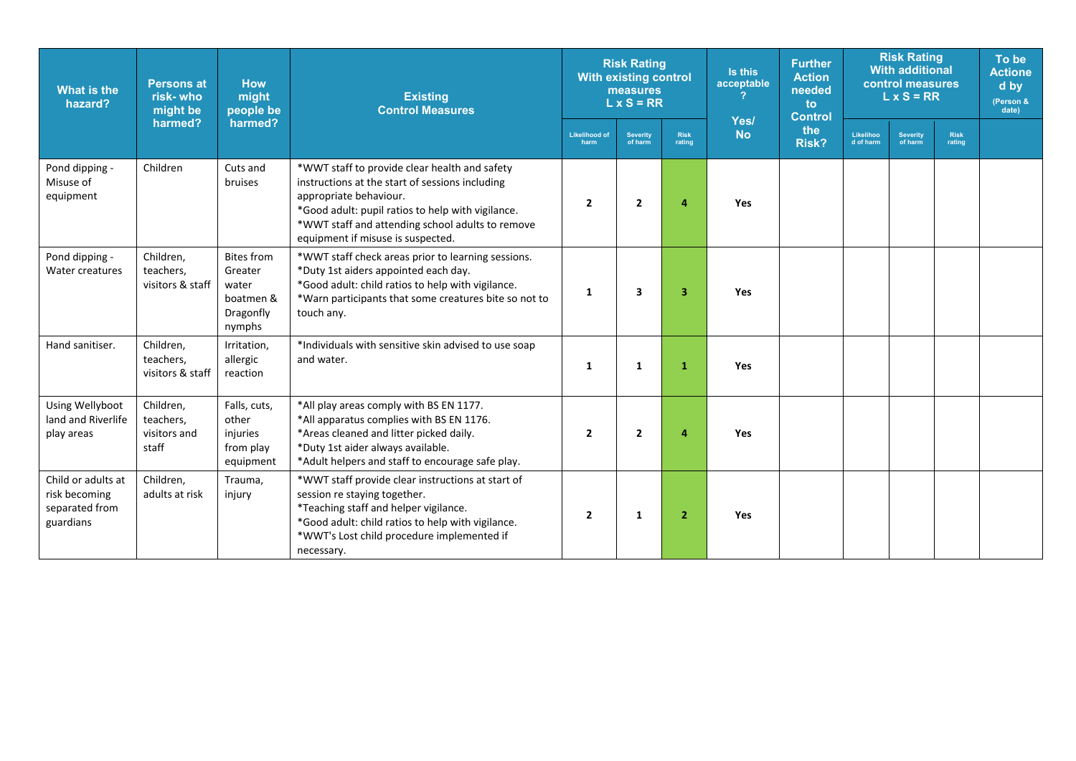| <b>What is the</b><br>hazard?                                      | <b>Persons at</b><br>risk-who<br>might be       | <b>How</b><br>might<br>people be                                          | <b>Existing</b><br><b>Control Measures</b>                                                                                                                                                                                                                               | <b>Risk Rating</b><br><b>With existing control</b><br>measures<br>$L \times S = RR$ |                            |                       | Is this<br>acceptable | <b>Further</b><br><b>Action</b><br>needed<br>to<br><b>Control</b> | <b>Risk Rating</b><br><b>With additional</b><br>control measures<br>$L \times S = RR$ |                            |                       | To be<br><b>Actione</b><br>d by<br>(Person &<br>date) |
|--------------------------------------------------------------------|-------------------------------------------------|---------------------------------------------------------------------------|--------------------------------------------------------------------------------------------------------------------------------------------------------------------------------------------------------------------------------------------------------------------------|-------------------------------------------------------------------------------------|----------------------------|-----------------------|-----------------------|-------------------------------------------------------------------|---------------------------------------------------------------------------------------|----------------------------|-----------------------|-------------------------------------------------------|
|                                                                    | harmed?                                         | harmed?                                                                   |                                                                                                                                                                                                                                                                          | <b>Likelihood of</b><br>harm                                                        | <b>Severity</b><br>of harm | <b>Risk</b><br>rating | Yes/<br><b>No</b>     | the<br><b>Risk?</b>                                               | Likelihoo<br>d of harm                                                                | <b>Severity</b><br>of harm | <b>Risk</b><br>rating |                                                       |
| Pond dipping -<br>Misuse of<br>equipment                           | Children                                        | Cuts and<br>bruises                                                       | *WWT staff to provide clear health and safety<br>instructions at the start of sessions including<br>appropriate behaviour.<br>*Good adult: pupil ratios to help with vigilance.<br>*WWT staff and attending school adults to remove<br>equipment if misuse is suspected. | $\overline{2}$                                                                      | $\overline{2}$             | 4                     | <b>Yes</b>            |                                                                   |                                                                                       |                            |                       |                                                       |
| Pond dipping -<br>Water creatures                                  | Children,<br>teachers,<br>visitors & staff      | <b>Bites from</b><br>Greater<br>water<br>boatmen &<br>Dragonfly<br>nymphs | *WWT staff check areas prior to learning sessions.<br>*Duty 1st aiders appointed each day.<br>*Good adult: child ratios to help with vigilance.<br>*Warn participants that some creatures bite so not to<br>touch any.                                                   | 1                                                                                   | 3                          | 3                     | Yes                   |                                                                   |                                                                                       |                            |                       |                                                       |
| Hand sanitiser.                                                    | Children,<br>teachers.<br>visitors & staff      | Irritation,<br>allergic<br>reaction                                       | *Individuals with sensitive skin advised to use soap<br>and water.                                                                                                                                                                                                       | 1                                                                                   | 1                          | 1                     | Yes                   |                                                                   |                                                                                       |                            |                       |                                                       |
| Using Wellyboot<br>land and Riverlife<br>play areas                | Children,<br>teachers,<br>visitors and<br>staff | Falls, cuts,<br>other<br>injuries<br>from play<br>equipment               | *All play areas comply with BS EN 1177.<br>*All apparatus complies with BS EN 1176.<br>*Areas cleaned and litter picked daily.<br>*Duty 1st aider always available.<br>*Adult helpers and staff to encourage safe play.                                                  | $\overline{2}$                                                                      | $\overline{2}$             | 4                     | <b>Yes</b>            |                                                                   |                                                                                       |                            |                       |                                                       |
| Child or adults at<br>risk becoming<br>separated from<br>guardians | Children,<br>adults at risk                     | Trauma,<br>injury                                                         | *WWT staff provide clear instructions at start of<br>session re staying together.<br>*Teaching staff and helper vigilance.<br>*Good adult: child ratios to help with vigilance.<br>*WWT's Lost child procedure implemented if<br>necessary.                              | $\overline{2}$                                                                      | $\mathbf{1}$               | $\overline{2}$        | <b>Yes</b>            |                                                                   |                                                                                       |                            |                       |                                                       |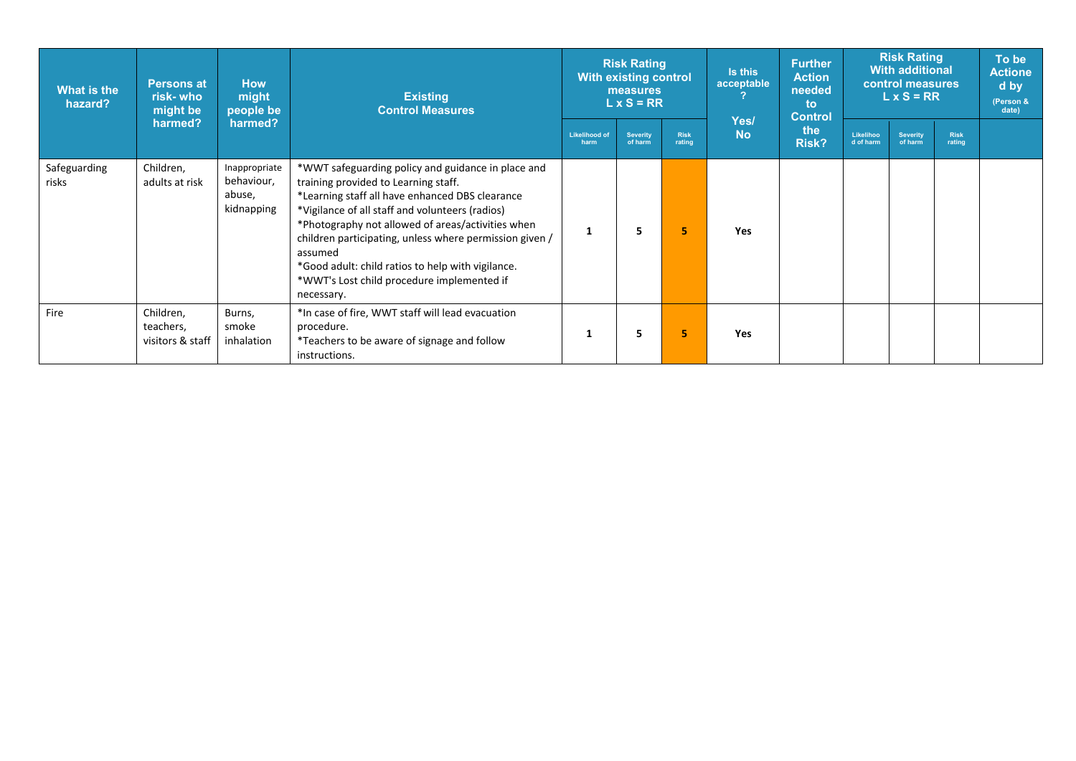| What is the<br>hazard? | <b>How</b><br><b>Persons at</b><br>might<br>risk- who<br>people be<br>might be |                                                     | <b>Existing</b><br><b>Control Measures</b>                                                                                                                                                                                                                                                                                                                                                                                                   |                              | <b>Risk Rating</b><br><b>With existing control</b><br>measures<br>$L \times S = RR$ |                |                   | <b>Further</b><br><b>Action</b><br>needed<br>to<br><b>Control</b> | <b>Risk Rating</b><br><b>With additional</b><br>control measures<br>$L \times S = RR$ |                            |                       | To be<br><b>Actione</b><br>d by<br>(Person &<br>date) |
|------------------------|--------------------------------------------------------------------------------|-----------------------------------------------------|----------------------------------------------------------------------------------------------------------------------------------------------------------------------------------------------------------------------------------------------------------------------------------------------------------------------------------------------------------------------------------------------------------------------------------------------|------------------------------|-------------------------------------------------------------------------------------|----------------|-------------------|-------------------------------------------------------------------|---------------------------------------------------------------------------------------|----------------------------|-----------------------|-------------------------------------------------------|
|                        | harmed?                                                                        | harmed?                                             |                                                                                                                                                                                                                                                                                                                                                                                                                                              | <b>Likelihood of</b><br>harm | <b>Severity</b><br>of harm                                                          | Risk<br>rating | Yes/<br><b>No</b> | the<br>Risk?                                                      | Likelihoo<br>d of harm                                                                | <b>Severity</b><br>of harm | <b>Risk</b><br>rating |                                                       |
| Safeguarding<br>risks  | Children,<br>adults at risk                                                    | Inappropriate<br>behaviour,<br>abuse,<br>kidnapping | *WWT safeguarding policy and guidance in place and<br>training provided to Learning staff.<br>*Learning staff all have enhanced DBS clearance<br>*Vigilance of all staff and volunteers (radios)<br>*Photography not allowed of areas/activities when<br>children participating, unless where permission given /<br>assumed<br>*Good adult: child ratios to help with vigilance.<br>*WWT's Lost child procedure implemented if<br>necessary. |                              | 5                                                                                   | 5              | <b>Yes</b>        |                                                                   |                                                                                       |                            |                       |                                                       |
| Fire                   | Children,<br>teachers,<br>visitors & staff                                     | Burns,<br>smoke<br>inhalation                       | *In case of fire, WWT staff will lead evacuation<br>procedure.<br>*Teachers to be aware of signage and follow<br>instructions.                                                                                                                                                                                                                                                                                                               |                              | 5                                                                                   | 5.             | <b>Yes</b>        |                                                                   |                                                                                       |                            |                       |                                                       |